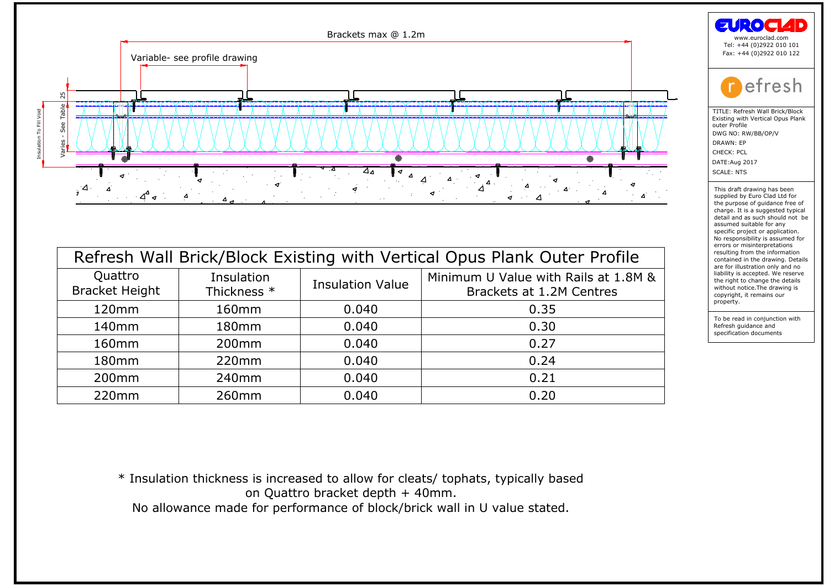

| Quattro<br><b>Bracket Height</b> | Insulation<br>Thickness * | <b>Insulation Value</b> | Minimum U Value with Rails at 1.8M &<br>Brackets at 1.2M Centres                  |
|----------------------------------|---------------------------|-------------------------|-----------------------------------------------------------------------------------|
| 120mm                            | 160 <sub>mm</sub>         | 0.040                   | 0.35                                                                              |
| 140 <sub>mm</sub>                | 180 <sub>mm</sub>         | 0.040                   | 0.30                                                                              |
| 160 <sub>mm</sub>                | 200 <sub>mm</sub>         | 0.040                   | 0.27                                                                              |
| 180mm                            | 220mm                     | 0.040                   | 0.24                                                                              |
| 200 <sub>mm</sub>                | 240mm                     | 0.040                   | 0.21                                                                              |
| 220mm                            | 260mm                     | 0.040                   | 0.20                                                                              |
|                                  |                           |                         | * Insulation thickness is increased to allow for cleats/ tophats, typically based |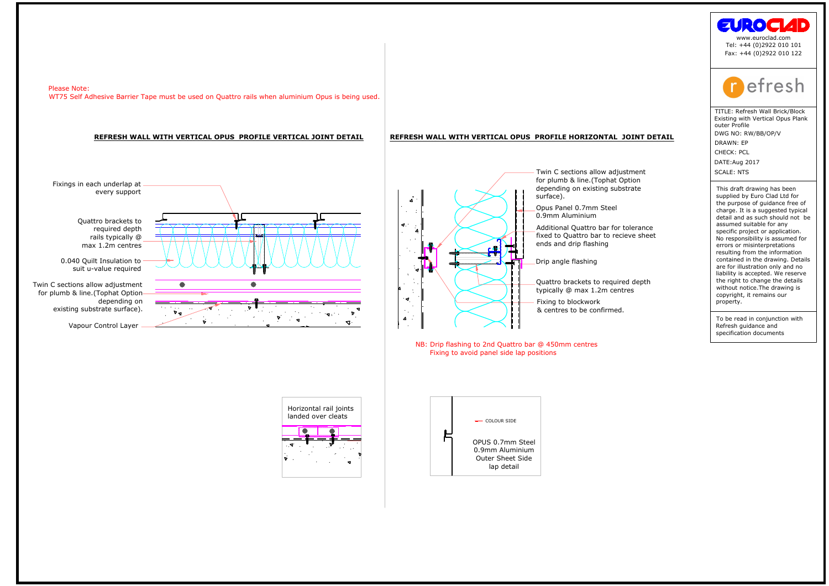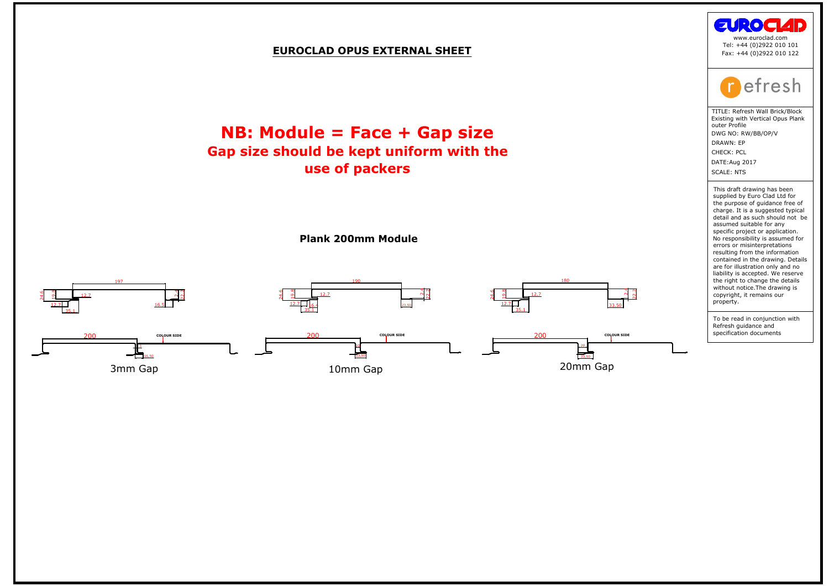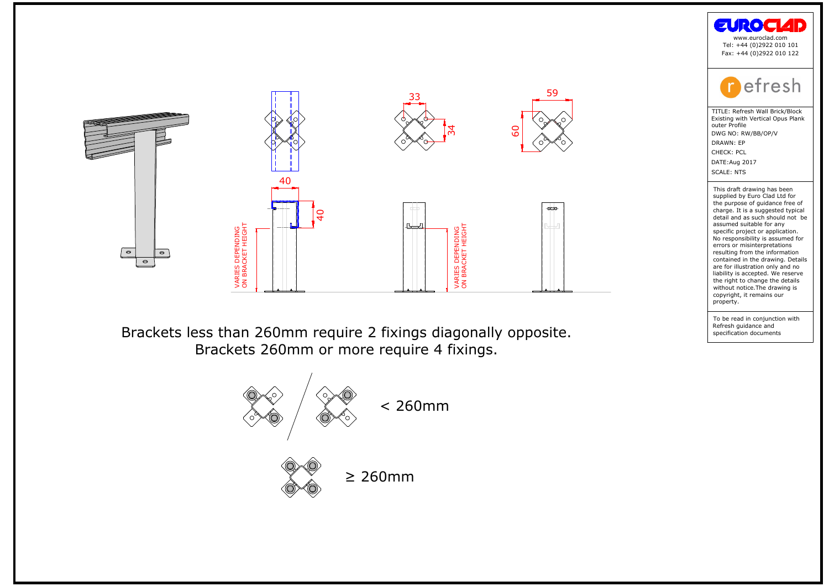